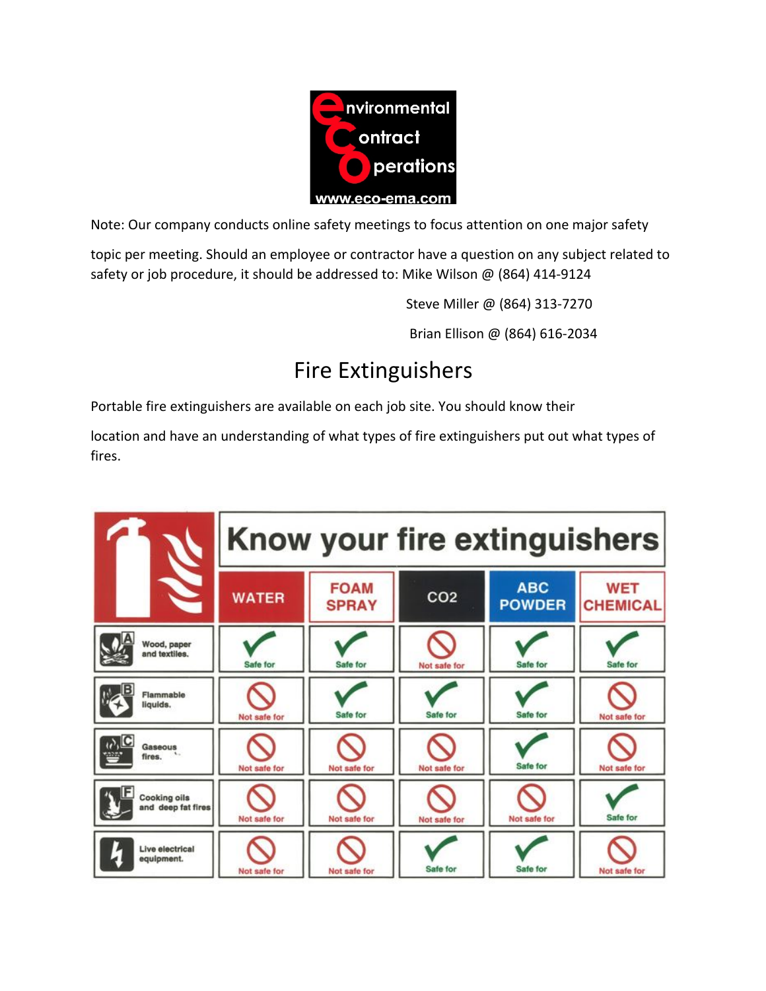

Note: Our company conducts online safety meetings to focus attention on one major safety

topic per meeting. Should an employee or contractor have a question on any subject related to safety or job procedure, it should be addressed to: Mike Wilson  $\omega$  (864) 414-9124

Steve Miller @ (864) 313-7270

Brian Ellison @ (864) 616-2034

## Fire Extinguishers

Portable fire extinguishers are available on each job site. You should know their

location and have an understanding of what types of fire extinguishers put out what types of fires.

|                                                              | Know your fire extinguishers |                             |                 |                             |                               |
|--------------------------------------------------------------|------------------------------|-----------------------------|-----------------|-----------------------------|-------------------------------|
|                                                              | <b>WATER</b>                 | <b>FOAM</b><br><b>SPRAY</b> | CO <sub>2</sub> | <b>ABC</b><br><b>POWDER</b> | <b>WET</b><br><b>CHEMICAL</b> |
| Wood, paper<br>and textiles.                                 | Safe for                     | Safe for                    | Not safe for    | Safe for                    | Safe for                      |
| Flammable<br>liquids.                                        | Not safe for                 | Safe for                    | Safe for        | Safe for                    | Not safe for                  |
| $\boldsymbol{\omega}$ $\mathbf{C}$<br>Gaseous<br>₩<br>fires. | Not safe for                 | Not safe for                | Not safe for    | Safe for                    | Not safe for                  |
| <b>Cooking oils</b><br>and deep fat fires                    | Not safe for                 | Not safe for                | Not safe for    | Not safe for                | Safe for                      |
| Live electrical<br>equipment.                                | Not safe for                 | Not safe for                | Safe for        | Safe for                    | Not safe for                  |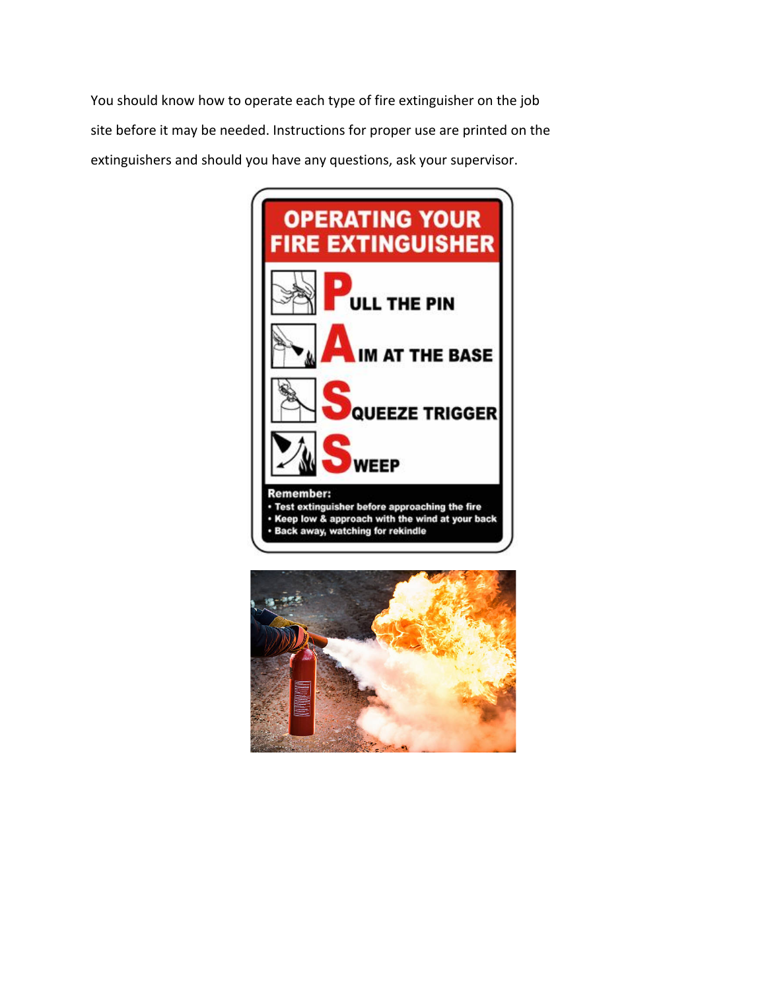You should know how to operate each type of fire extinguisher on the job site before it may be needed. Instructions for proper use are printed on the extinguishers and should you have any questions, ask your supervisor.



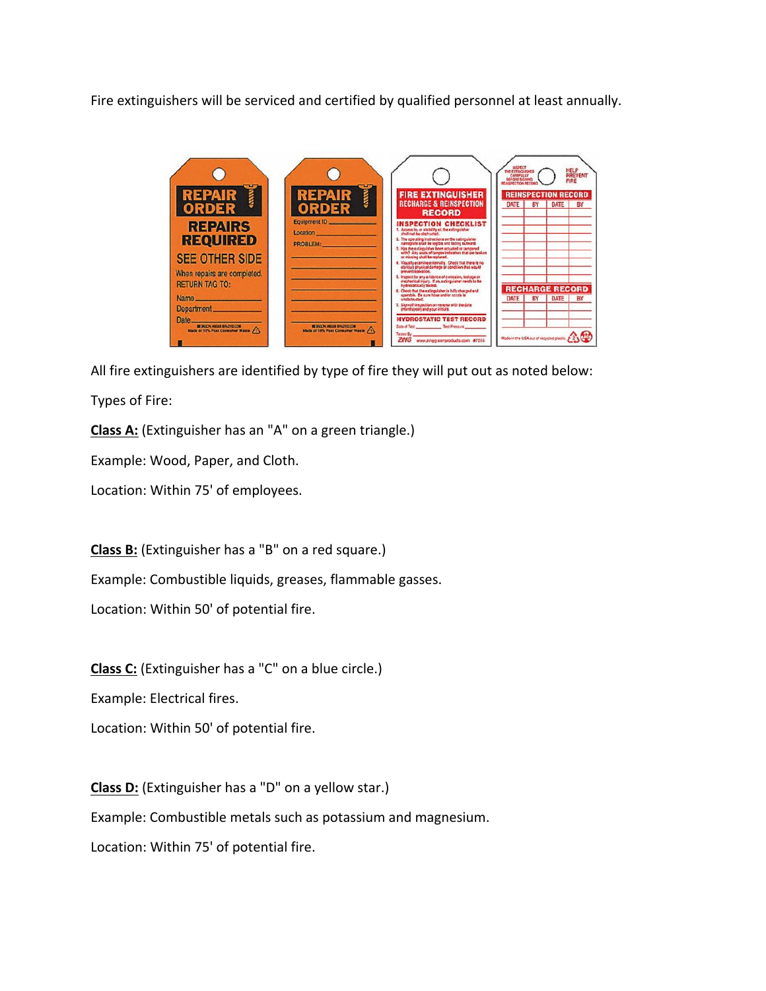Fire extinguishers will be serviced and certified by qualified personnel at least annually.



All fire extinguishers are identified by type of fire they will put out as noted below:

Types of Fire:

**Class A:** (Extinguisher has an "A" on a green triangle.)

Example: Wood, Paper, and Cloth.

Location: Within 75' of employees.

**Class B:** (Extinguisher has a "B" on a red square.)

Example: Combustible liquids, greases, flammable gasses.

Location: Within 50' of potential fire.

**Class C:** (Extinguisher has a "C" on a blue circle.)

Example: Electrical fires.

Location: Within 50' of potential fire.

**Class D:** (Extinguisher has a "D" on a yellow star.)

Example: Combustible metals such as potassium and magnesium.

Location: Within 75' of potential fire.